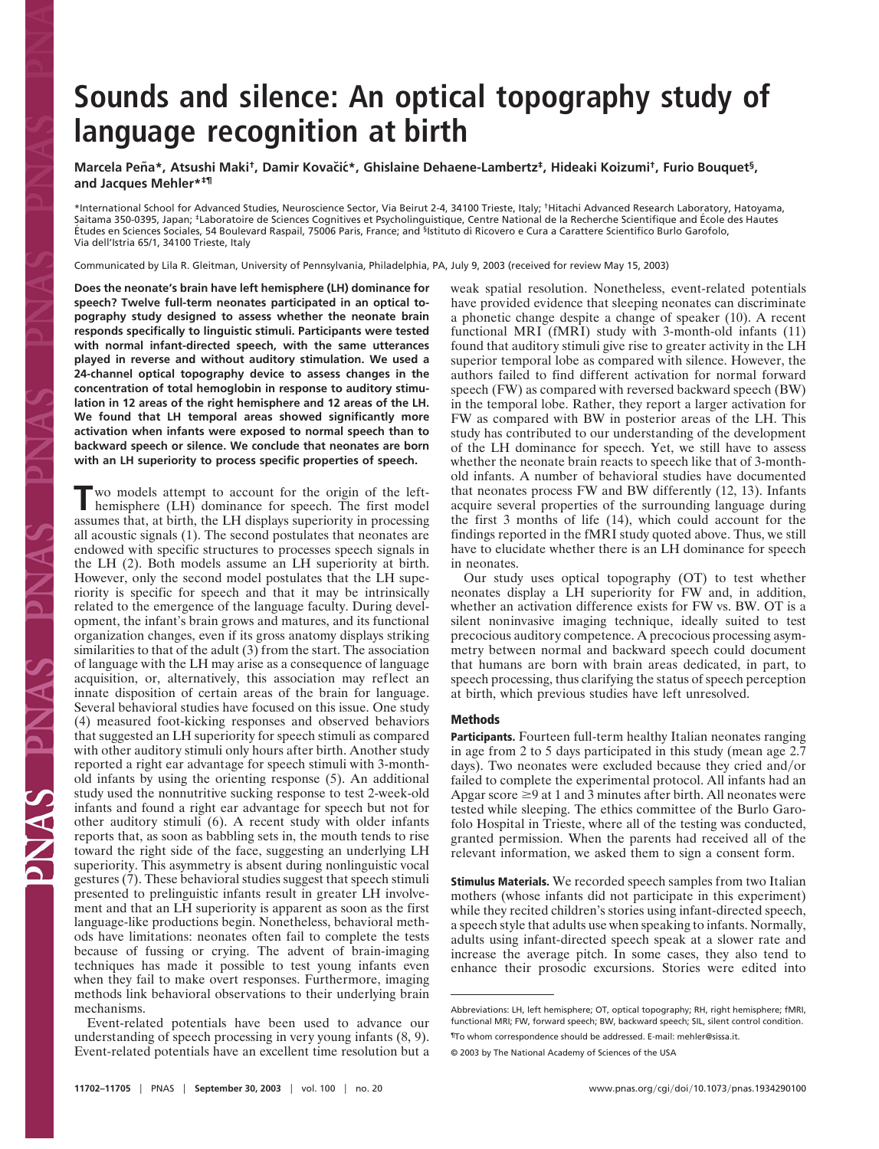## **Sounds and silence: An optical topography study of language recognition at birth**

**Marcela Pen˜ a\*, Atsushi Maki†, Damir Kovac˘ic´\*, Ghislaine Dehaene-Lambertz‡, Hideaki Koizumi†, Furio Bouquet§, and Jacques Mehler\*‡¶**

\*International School for Advanced Studies, Neuroscience Sector, Via Beirut 2-4, 34100 Trieste, Italy; †Hitachi Advanced Research Laboratory, Hatoyama,<br>Saitama 350-0395, Japan; ‡Laboratoire de Sciences Cognitives et Psycho E´tudes en Sciences Sociales, 54 Boulevard Raspail, 75006 Paris, France; and §Istituto di Ricovero e Cura a Carattere Scientifico Burlo Garofolo, Via dell'Istria 65/1, 34100 Trieste, Italy

Communicated by Lila R. Gleitman, University of Pennsylvania, Philadelphia, PA, July 9, 2003 (received for review May 15, 2003)

**Does the neonate's brain have left hemisphere (LH) dominance for speech? Twelve full-term neonates participated in an optical topography study designed to assess whether the neonate brain responds specifically to linguistic stimuli. Participants were tested with normal infant-directed speech, with the same utterances played in reverse and without auditory stimulation. We used a 24-channel optical topography device to assess changes in the concentration of total hemoglobin in response to auditory stimulation in 12 areas of the right hemisphere and 12 areas of the LH. We found that LH temporal areas showed significantly more activation when infants were exposed to normal speech than to backward speech or silence. We conclude that neonates are born with an LH superiority to process specific properties of speech.**

**T**wo models attempt to account for the origin of the left-hemisphere (LH) dominance for speech. The first model assumes that, at birth, the LH displays superiority in processing all acoustic signals (1). The second postulates that neonates are endowed with specific structures to processes speech signals in the LH (2). Both models assume an LH superiority at birth. However, only the second model postulates that the LH superiority is specific for speech and that it may be intrinsically related to the emergence of the language faculty. During development, the infant's brain grows and matures, and its functional organization changes, even if its gross anatomy displays striking similarities to that of the adult (3) from the start. The association of language with the LH may arise as a consequence of language acquisition, or, alternatively, this association may reflect an innate disposition of certain areas of the brain for language. Several behavioral studies have focused on this issue. One study (4) measured foot-kicking responses and observed behaviors that suggested an LH superiority for speech stimuli as compared with other auditory stimuli only hours after birth. Another study reported a right ear advantage for speech stimuli with 3-monthold infants by using the orienting response (5). An additional study used the nonnutritive sucking response to test 2-week-old infants and found a right ear advantage for speech but not for other auditory stimuli (6). A recent study with older infants reports that, as soon as babbling sets in, the mouth tends to rise toward the right side of the face, suggesting an underlying LH superiority. This asymmetry is absent during nonlinguistic vocal gestures (7). These behavioral studies suggest that speech stimuli presented to prelinguistic infants result in greater LH involvement and that an LH superiority is apparent as soon as the first language-like productions begin. Nonetheless, behavioral methods have limitations: neonates often fail to complete the tests because of fussing or crying. The advent of brain-imaging techniques has made it possible to test young infants even when they fail to make overt responses. Furthermore, imaging methods link behavioral observations to their underlying brain mechanisms.

Event-related potentials have been used to advance our understanding of speech processing in very young infants (8, 9). Event-related potentials have an excellent time resolution but a weak spatial resolution. Nonetheless, event-related potentials have provided evidence that sleeping neonates can discriminate a phonetic change despite a change of speaker (10). A recent functional MRI (fMRI) study with 3-month-old infants (11) found that auditory stimuli give rise to greater activity in the LH superior temporal lobe as compared with silence. However, the authors failed to find different activation for normal forward speech (FW) as compared with reversed backward speech (BW) in the temporal lobe. Rather, they report a larger activation for FW as compared with BW in posterior areas of the LH. This study has contributed to our understanding of the development of the LH dominance for speech. Yet, we still have to assess whether the neonate brain reacts to speech like that of 3-monthold infants. A number of behavioral studies have documented that neonates process FW and BW differently (12, 13). Infants acquire several properties of the surrounding language during the first 3 months of life (14), which could account for the findings reported in the fMRI study quoted above. Thus, we still have to elucidate whether there is an LH dominance for speech in neonates.

Our study uses optical topography (OT) to test whether neonates display a LH superiority for FW and, in addition, whether an activation difference exists for FW vs. BW. OT is a silent noninvasive imaging technique, ideally suited to test precocious auditory competence. A precocious processing asymmetry between normal and backward speech could document that humans are born with brain areas dedicated, in part, to speech processing, thus clarifying the status of speech perception at birth, which previous studies have left unresolved.

## **Methods**

**Participants.** Fourteen full-term healthy Italian neonates ranging in age from 2 to 5 days participated in this study (mean age 2.7 days). Two neonates were excluded because they cried and/or failed to complete the experimental protocol. All infants had an Apgar score  $\geq 9$  at 1 and 3 minutes after birth. All neonates were tested while sleeping. The ethics committee of the Burlo Garofolo Hospital in Trieste, where all of the testing was conducted, granted permission. When the parents had received all of the relevant information, we asked them to sign a consent form.

**Stimulus Materials.** We recorded speech samples from two Italian mothers (whose infants did not participate in this experiment) while they recited children's stories using infant-directed speech, a speech style that adults use when speaking to infants. Normally, adults using infant-directed speech speak at a slower rate and increase the average pitch. In some cases, they also tend to enhance their prosodic excursions. Stories were edited into

Abbreviations: LH, left hemisphere; OT, optical topography; RH, right hemisphere; fMRI, functional MRI; FW, forward speech; BW, backward speech; SIL, silent control condition.

<sup>¶</sup>To whom correspondence should be addressed. E-mail: mehler@sissa.it.

<sup>© 2003</sup> by The National Academy of Sciences of the USA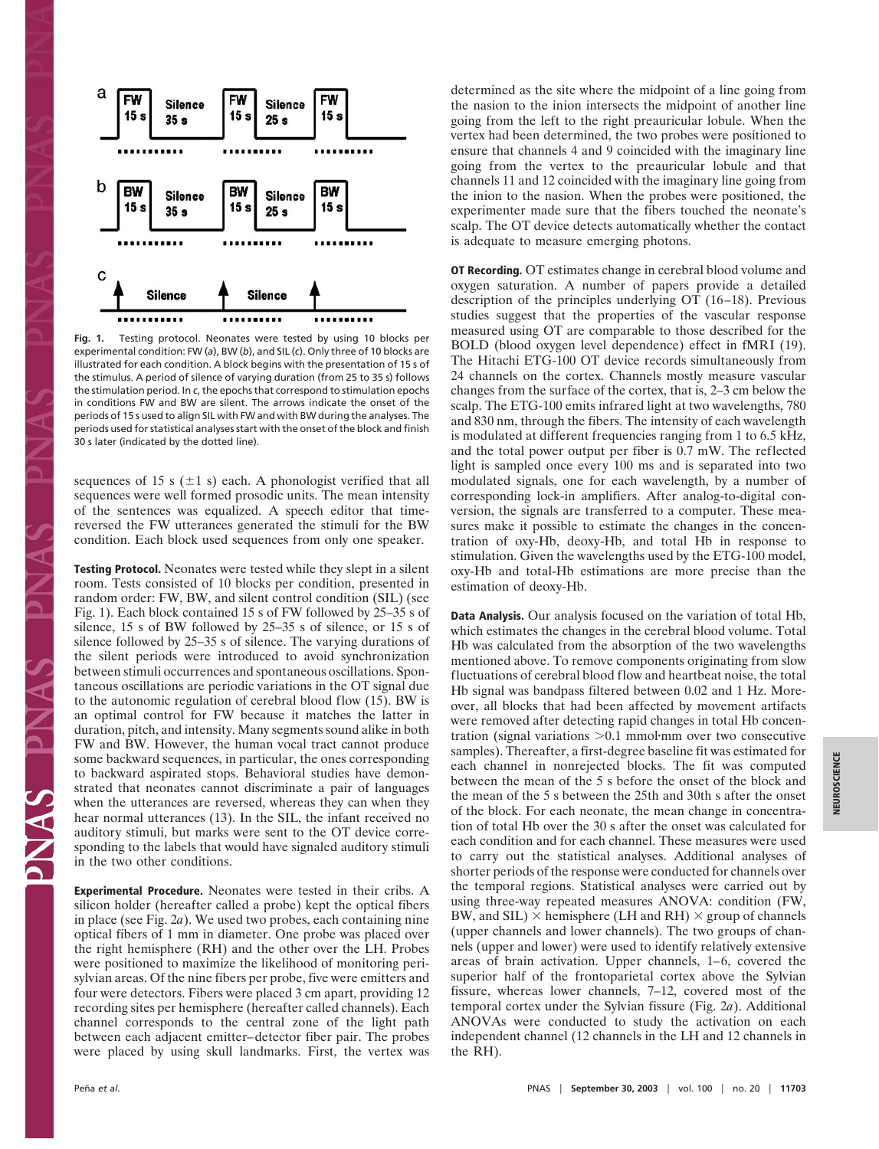

**Fig. 1.** Testing protocol. Neonates were tested by using 10 blocks per experimental condition: FW (*a*), BW (*b*), and SIL (*c*). Only three of 10 blocks are illustrated for each condition. A block begins with the presentation of 15 s of the stimulus. A period of silence of varying duration (from 25 to 35 s) follows the stimulation period. In *c*, the epochs that correspond to stimulation epochs in conditions FW and BW are silent. The arrows indicate the onset of the periods of 15 s used to align SIL with FW and with BW during the analyses. The periods used for statistical analyses start with the onset of the block and finish 30 s later (indicated by the dotted line).

sequences of 15 s  $(\pm 1 \text{ s})$  each. A phonologist verified that all sequences were well formed prosodic units. The mean intensity of the sentences was equalized. A speech editor that timereversed the FW utterances generated the stimuli for the BW condition. Each block used sequences from only one speaker.

**Testing Protocol.** Neonates were tested while they slept in a silent room. Tests consisted of 10 blocks per condition, presented in random order: FW, BW, and silent control condition (SIL) (see Fig. 1). Each block contained 15 s of FW followed by 25–35 s of silence, 15 s of BW followed by 25–35 s of silence, or 15 s of silence followed by 25–35 s of silence. The varying durations of the silent periods were introduced to avoid synchronization between stimuli occurrences and spontaneous oscillations. Spontaneous oscillations are periodic variations in the OT signal due to the autonomic regulation of cerebral blood flow (15). BW is an optimal control for FW because it matches the latter in duration, pitch, and intensity. Many segments sound alike in both FW and BW. However, the human vocal tract cannot produce some backward sequences, in particular, the ones corresponding to backward aspirated stops. Behavioral studies have demonstrated that neonates cannot discriminate a pair of languages when the utterances are reversed, whereas they can when they hear normal utterances (13). In the SIL, the infant received no auditory stimuli, but marks were sent to the OT device corresponding to the labels that would have signaled auditory stimuli in the two other conditions.

**Experimental Procedure.** Neonates were tested in their cribs. A silicon holder (hereafter called a probe) kept the optical fibers in place (see Fig. 2*a*). We used two probes, each containing nine optical fibers of 1 mm in diameter. One probe was placed over the right hemisphere (RH) and the other over the LH. Probes were positioned to maximize the likelihood of monitoring perisylvian areas. Of the nine fibers per probe, five were emitters and four were detectors. Fibers were placed 3 cm apart, providing 12 recording sites per hemisphere (hereafter called channels). Each channel corresponds to the central zone of the light path between each adjacent emitter–detector fiber pair. The probes were placed by using skull landmarks. First, the vertex was determined as the site where the midpoint of a line going from the nasion to the inion intersects the midpoint of another line going from the left to the right preauricular lobule. When the vertex had been determined, the two probes were positioned to ensure that channels 4 and 9 coincided with the imaginary line going from the vertex to the preauricular lobule and that channels 11 and 12 coincided with the imaginary line going from the inion to the nasion. When the probes were positioned, the experimenter made sure that the fibers touched the neonate's scalp. The OT device detects automatically whether the contact is adequate to measure emerging photons.

**OT Recording.** OT estimates change in cerebral blood volume and oxygen saturation. A number of papers provide a detailed description of the principles underlying OT (16–18). Previous studies suggest that the properties of the vascular response measured using OT are comparable to those described for the BOLD (blood oxygen level dependence) effect in fMRI (19). The Hitachi ETG-100 OT device records simultaneously from 24 channels on the cortex. Channels mostly measure vascular changes from the surface of the cortex, that is, 2–3 cm below the scalp. The ETG-100 emits infrared light at two wavelengths, 780 and 830 nm, through the fibers. The intensity of each wavelength is modulated at different frequencies ranging from 1 to 6.5 kHz, and the total power output per fiber is 0.7 mW. The reflected light is sampled once every 100 ms and is separated into two modulated signals, one for each wavelength, by a number of corresponding lock-in amplifiers. After analog-to-digital conversion, the signals are transferred to a computer. These measures make it possible to estimate the changes in the concentration of oxy-Hb, deoxy-Hb, and total Hb in response to stimulation. Given the wavelengths used by the ETG-100 model, oxy-Hb and total-Hb estimations are more precise than the estimation of deoxy-Hb.

**Data Analysis.** Our analysis focused on the variation of total Hb, which estimates the changes in the cerebral blood volume. Total Hb was calculated from the absorption of the two wavelengths mentioned above. To remove components originating from slow fluctuations of cerebral blood flow and heartbeat noise, the total Hb signal was bandpass filtered between 0.02 and 1 Hz. Moreover, all blocks that had been affected by movement artifacts were removed after detecting rapid changes in total Hb concentration (signal variations > 0.1 mmol·mm over two consecutive samples). Thereafter, a first-degree baseline fit was estimated for each channel in nonrejected blocks. The fit was computed between the mean of the 5 s before the onset of the block and the mean of the 5 s between the 25th and 30th s after the onset of the block. For each neonate, the mean change in concentration of total Hb over the 30 s after the onset was calculated for each condition and for each channel. These measures were used to carry out the statistical analyses. Additional analyses of shorter periods of the response were conducted for channels over the temporal regions. Statistical analyses were carried out by using three-way repeated measures ANOVA: condition (FW, BW, and SIL)  $\times$  hemisphere (LH and RH)  $\times$  group of channels (upper channels and lower channels). The two groups of channels (upper and lower) were used to identify relatively extensive areas of brain activation. Upper channels, 1–6, covered the superior half of the frontoparietal cortex above the Sylvian fissure, whereas lower channels, 7–12, covered most of the temporal cortex under the Sylvian fissure (Fig. 2*a*). Additional ANOVAs were conducted to study the activation on each independent channel (12 channels in the LH and 12 channels in the RH).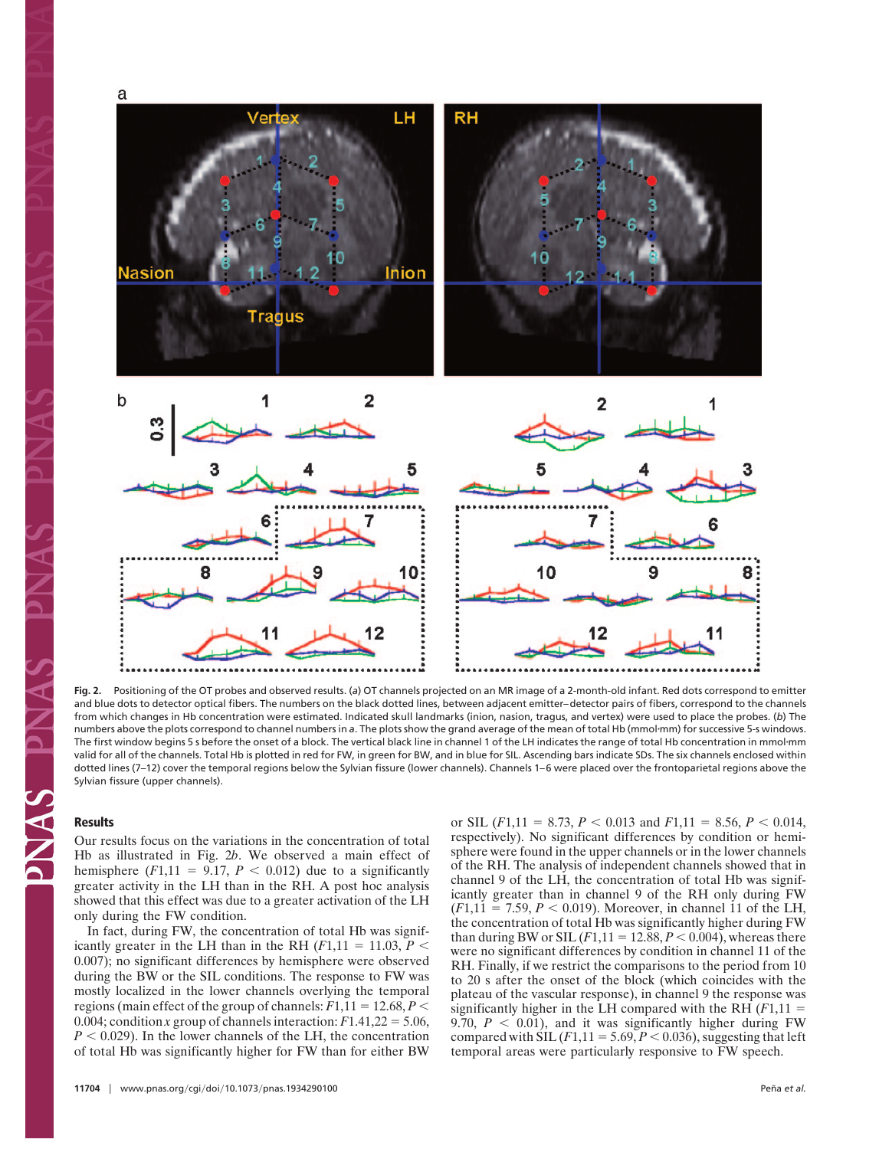

**Fig. 2.** Positioning of the OT probes and observed results. (*a*) OT channels projected on an MR image of a 2-month-old infant. Red dots correspond to emitter and blue dots to detector optical fibers. The numbers on the black dotted lines, between adjacent emitter–detector pairs of fibers, correspond to the channels from which changes in Hb concentration were estimated. Indicated skull landmarks (inion, nasion, tragus, and vertex) were used to place the probes. (*b*) The numbers above the plots correspond to channel numbers in a. The plots show the grand average of the mean of total Hb (mmol-mm) for successive 5-s windows. The first window begins 5 s before the onset of a block. The vertical black line in channel 1 of the LH indicates the range of total Hb concentration in mmol-mm valid for all of the channels. Total Hb is plotted in red for FW, in green for BW, and in blue for SIL. Ascending bars indicate SDs. The six channels enclosed within dotted lines (7-12) cover the temporal regions below the Sylvian fissure (lower channels). Channels 1-6 were placed over the frontoparietal regions above the Sylvian fissure (upper channels).

## **Results**

**ANA** 

Our results focus on the variations in the concentration of total Hb as illustrated in Fig. 2*b*. We observed a main effect of hemisphere  $(F1,11 = 9.17, P < 0.012)$  due to a significantly greater activity in the LH than in the RH. A post hoc analysis showed that this effect was due to a greater activation of the LH only during the FW condition.

In fact, during FW, the concentration of total Hb was significantly greater in the LH than in the RH  $(F1,11 = 11.03, P <$ 0.007); no significant differences by hemisphere were observed during the BW or the SIL conditions. The response to FW was mostly localized in the lower channels overlying the temporal regions (main effect of the group of channels:  $F1,11 = 12.68, P <$ 0.004; condition *x* group of channels interaction:  $F1.41,22 = 5.06$ ,  $P < 0.029$ ). In the lower channels of the LH, the concentration of total Hb was significantly higher for FW than for either BW or SIL ( $F1,11 = 8.73, P < 0.013$  and  $F1,11 = 8.56, P < 0.014,$ respectively). No significant differences by condition or hemisphere were found in the upper channels or in the lower channels of the RH. The analysis of independent channels showed that in channel 9 of the LH, the concentration of total Hb was significantly greater than in channel 9 of the RH only during FW  $(F1,11 = 7.59, P < 0.019)$ . Moreover, in channel 11 of the LH, the concentration of total Hb was significantly higher during FW than during BW or SIL  $(F1,11 = 12.88, P < 0.004)$ , whereas there were no significant differences by condition in channel 11 of the RH. Finally, if we restrict the comparisons to the period from 10 to 20 s after the onset of the block (which coincides with the plateau of the vascular response), in channel 9 the response was significantly higher in the LH compared with the RH  $(F1,11)$  = 9.70,  $P < 0.01$ ), and it was significantly higher during FW compared with SIL  $(F1,11 = 5.69, P < 0.036)$ , suggesting that left temporal areas were particularly responsive to FW speech.